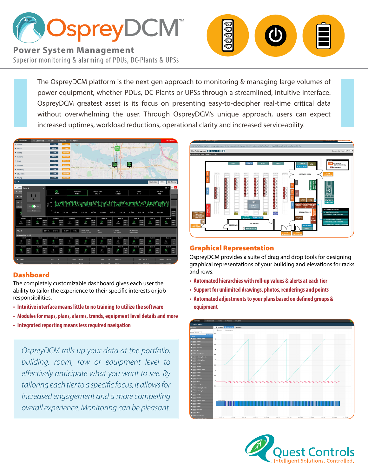

**Power System Management** Superior monitoring & alarming of PDUs, DC-Plants & UPSs ŎŌŌ

The OspreyDCM platform is the next gen approach to monitoring & managing large volumes of power equipment, whether PDUs, DC-Plants or UPSs through a streamlined, intuitive interface. OspreyDCM greatest asset is its focus on presenting easy-to-decipher real-time critical data without overwhelming the user. Through OspreyDCM's unique approach, users can expect increased uptimes, workload reductions, operational clarity and increased serviceability.



## Dashboard

The completely customizable dashboard gives each user the ability to tailor the experience to their specific interests or job responsibilities.

- **• Intuitive interface means little to no training to utilize the software**
- **• Modules for maps, plans, alarms, trends, equipment level details and more**
- **• Integrated reporting means less required navigation**

*OspreyDCM rolls up your data at the portfolio, building, room, row or equipment level to effectively anticipate what you want to see. By tailoring each tier to a specific focus, it allows for increased engagement and a more compelling overall experience. Monitoring can be pleasant.* 



## Graphical Representation

OspreyDCM provides a suite of drag and drop tools for designing graphical representations of your building and elevations for racks and rows.

- **• Automated hierarchies with roll-up values & alerts at each tier**
- **• Support for unlimited drawings, photos, renderings and points**
- **• Automated adjustments to your plans based on defined groups & equipment**